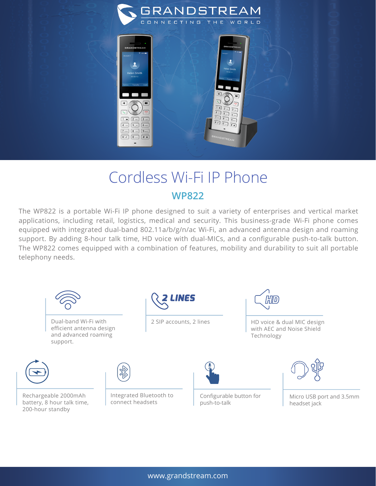

## Cordless Wi-Fi IP Phone **WP822**

The WP822 is a portable Wi-Fi IP phone designed to suit a variety of enterprises and vertical market applications, including retail, logistics, medical and security. This business-grade Wi-Fi phone comes equipped with integrated dual-band 802.11a/b/g/n/ac Wi-Fi, an advanced antenna design and roaming support. By adding 8-hour talk time, HD voice with dual-MICs, and a configurable push-to-talk button. The WP822 comes equipped with a combination of features, mobility and durability to suit all portable telephony needs.